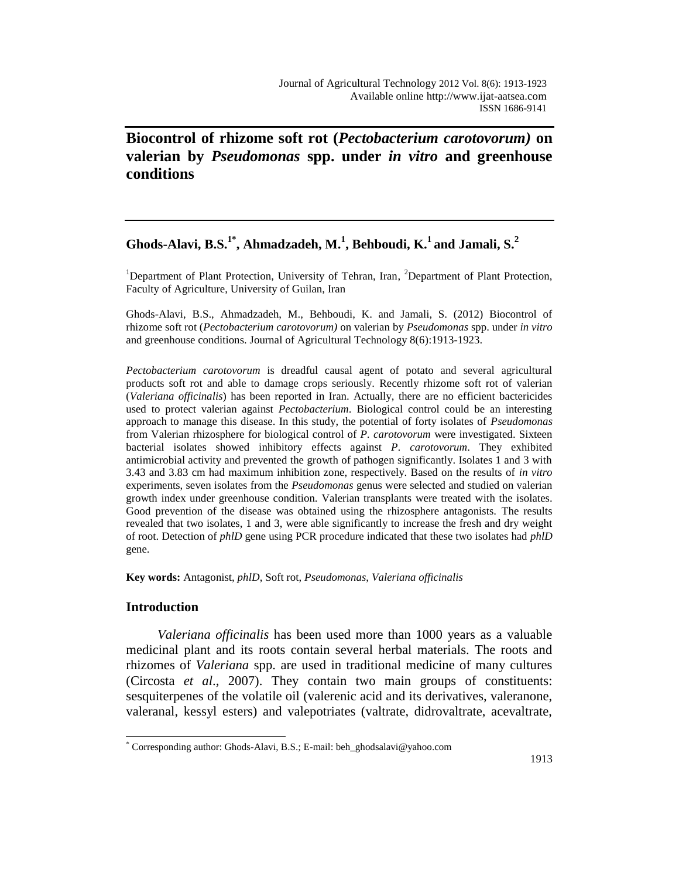**Biocontrol of rhizome soft rot (***Pectobacterium carotovorum)* **on valerian by** *Pseudomonas* **spp. under** *in vitro* **and greenhouse conditions**

# **Ghods-Alavi, B.S.1\* , Ahmadzadeh, M.<sup>1</sup> , Behboudi, K.<sup>1</sup> and Jamali, S.<sup>2</sup>**

<sup>1</sup>Department of Plant Protection, University of Tehran, Iran, <sup>2</sup>Department of Plant Protection, Faculty of Agriculture, University of Guilan, Iran

Ghods-Alavi, B.S., Ahmadzadeh, M., Behboudi, K. and Jamali, S. (2012) Biocontrol of rhizome soft rot (*Pectobacterium carotovorum)* on valerian by *Pseudomonas* spp. under *in vitro* and greenhouse conditions. Journal of Agricultural Technology 8(6):1913-1923.

*Pectobacterium carotovorum* is dreadful causal agent of potato and several agricultural products soft rot and able to damage crops seriously. Recently rhizome soft rot of valerian (*Valeriana officinalis*) has been reported in Iran. Actually, there are no efficient bactericides used to protect valerian against *Pectobacterium*. Biological control could be an interesting approach to manage this disease. In this study, the potential of forty isolates of *Pseudomonas* from Valerian rhizosphere for biological control of *P. carotovorum* were investigated. Sixteen bacterial isolates showed inhibitory effects against *P. carotovorum*. They exhibited antimicrobial activity and prevented the growth of pathogen significantly. Isolates 1 and 3 with 3.43 and 3.83 cm had maximum inhibition zone, respectively. Based on the results of *in vitro* experiments, seven isolates from the *Pseudomonas* genus were selected and studied on valerian growth index under greenhouse condition. Valerian transplants were treated with the isolates. Good prevention of the disease was obtained using the rhizosphere antagonists. The results revealed that two isolates, 1 and 3, were able significantly to increase the fresh and dry weight of root. Detection of *phlD* gene using PCR procedure indicated that these two isolates had *phlD* gene.

**Key words:** Antagonist, *phlD*, Soft rot, *Pseudomonas*, *Valeriana officinalis*

## **Introduction**

 $\overline{a}$ 

*Valeriana officinalis* has been used more than 1000 years as a valuable medicinal plant and its roots contain several herbal materials. The roots and rhizomes of *Valeriana* spp. are used in traditional medicine of many cultures (Circosta *et al*., 2007). They contain two main groups of constituents: sesquiterpenes of the volatile oil (valerenic acid and its derivatives, valeranone, valeranal, kessyl esters) and valepotriates (valtrate, didrovaltrate, acevaltrate,

<sup>\*</sup> Corresponding author: Ghods-Alavi, B.S.; E-mail: beh\_ghodsalavi@yahoo.com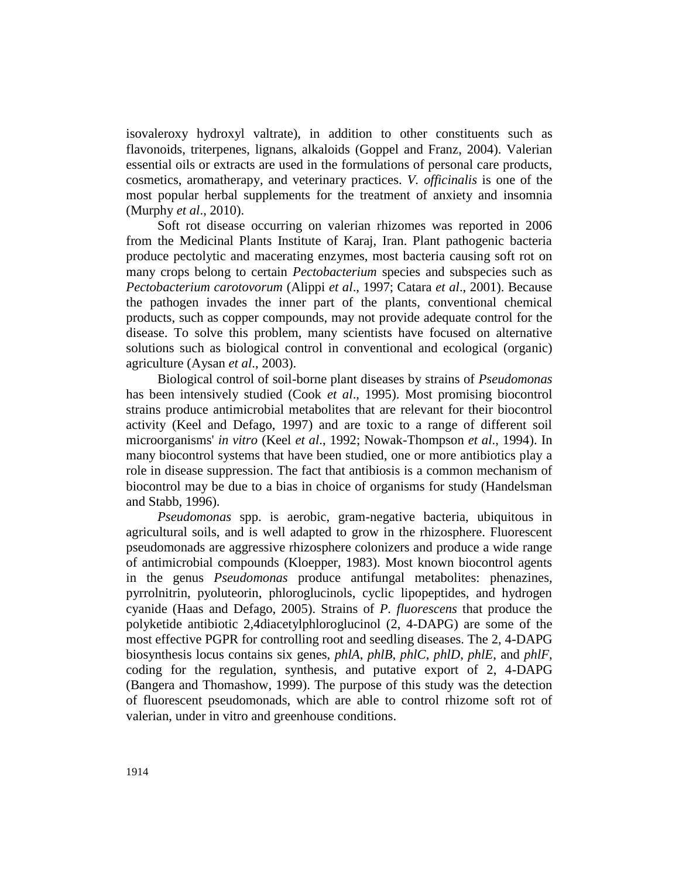isovaleroxy hydroxyl valtrate), in addition to other constituents such as flavonoids, triterpenes, lignans, alkaloids (Goppel and Franz, 2004). Valerian essential oils or extracts are used in the formulations of personal care products, cosmetics, aromatherapy, and veterinary practices. *V. officinalis* is one of the most popular herbal supplements for the treatment of anxiety and insomnia (Murphy *et al*., 2010).

Soft rot disease occurring on valerian rhizomes was reported in 2006 from the Medicinal Plants Institute of Karaj, Iran. Plant pathogenic bacteria produce pectolytic and macerating enzymes, most bacteria causing soft rot on many crops belong to certain *Pectobacterium* species and subspecies such as *Pectobacterium carotovorum* (Alippi *et al*., 1997; Catara *et al*., 2001). Because the pathogen invades the inner part of the plants, conventional chemical products, such as copper compounds, may not provide adequate control for the disease. To solve this problem, many scientists have focused on alternative solutions such as biological control in conventional and ecological (organic) agriculture (Aysan *et al*., 2003).

Biological control of soil-borne plant diseases by strains of *Pseudomonas* has been intensively studied (Cook *et al*., 1995). Most promising biocontrol strains produce antimicrobial metabolites that are relevant for their biocontrol activity (Keel and Defago, 1997) and are toxic to a range of different soil microorganisms' *in vitro* (Keel *et al*., 1992; Nowak-Thompson *et al*., 1994). In many biocontrol systems that have been studied, one or more antibiotics play a role in disease suppression. The fact that antibiosis is a common mechanism of biocontrol may be due to a bias in choice of organisms for study (Handelsman and Stabb, 1996).

*Pseudomonas* spp. is aerobic, gram-negative bacteria, ubiquitous in agricultural soils, and is well adapted to grow in the rhizosphere. Fluorescent pseudomonads are aggressive rhizosphere colonizers and produce a wide range of antimicrobial compounds (Kloepper, 1983). Most known biocontrol agents in the genus *Pseudomonas* produce antifungal metabolites: phenazines, pyrrolnitrin, pyoluteorin, phloroglucinols, cyclic lipopeptides, and hydrogen cyanide (Haas and Defago, 2005). Strains of *P. fluorescens* that produce the polyketide antibiotic 2,4diacetylphloroglucinol (2, 4-DAPG) are some of the most effective PGPR for controlling root and seedling diseases. The 2, 4-DAPG biosynthesis locus contains six genes, *phlA*, *phlB*, *phlC*, *phlD*, *phlE*, and *phlF*, coding for the regulation, synthesis, and putative export of 2, 4-DAPG (Bangera and Thomashow, 1999). The purpose of this study was the detection of fluorescent pseudomonads, which are able to control rhizome soft rot of valerian, under in vitro and greenhouse conditions.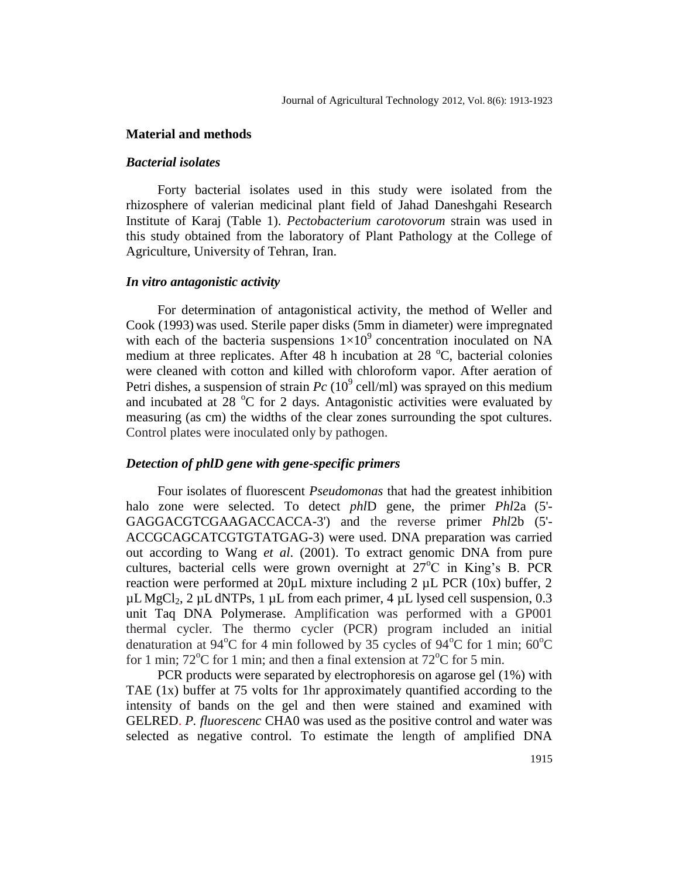### **Material and methods**

### *Bacterial isolates*

Forty bacterial isolates used in this study were isolated from the rhizosphere of valerian medicinal plant field of Jahad Daneshgahi Research Institute of Karaj (Table 1). *Pectobacterium carotovorum* strain was used in this study obtained from the laboratory of Plant Pathology at the College of Agriculture, University of Tehran, Iran.

### *In vitro antagonistic activity*

For determination of antagonistical activity, the method of Weller and Cook (1993) was used. Sterile paper disks (5mm in diameter) were impregnated with each of the bacteria suspensions  $1\times10^9$  concentration inoculated on NA medium at three replicates. After 48 h incubation at 28  $^{\circ}$ C, bacterial colonies were cleaned with cotton and killed with chloroform vapor. After aeration of Petri dishes, a suspension of strain  $Pc(10^9 \text{ cell/ml})$  was sprayed on this medium and incubated at 28  $\degree$ C for 2 days. Antagonistic activities were evaluated by measuring (as cm) the widths of the clear zones surrounding the spot cultures. Control plates were inoculated only by pathogen.

#### *Detection of phlD gene with gene-specific primers*

Four isolates of fluorescent *Pseudomonas* that had the greatest inhibition halo zone were selected. To detect *phl*D gene, the primer *Phl*2a (5'- GAGGACGTCGAAGACCACCA-3') and the reverse primer *Phl*2b (5'- ACCGCAGCATCGTGTATGAG-3) were used. DNA preparation was carried out according to Wang *et al*. (2001). To extract genomic DNA from pure cultures, bacterial cells were grown overnight at  $27^{\circ}$ C in King's B. PCR reaction were performed at 20µL mixture including 2 µL PCR (10x) buffer, 2  $\mu$ L MgCl<sub>2</sub>, 2  $\mu$ L dNTPs, 1  $\mu$ L from each primer, 4  $\mu$ L lysed cell suspension, 0.3 unit Taq DNA Polymerase. Amplification was performed with a GP001 thermal cycler. The thermo cycler (PCR) program included an initial denaturation at 94 $\rm{°C}$  for 4 min followed by 35 cycles of 94 $\rm{°C}$  for 1 min; 60 $\rm{°C}$ for 1 min;  $72^{\circ}$ C for 1 min; and then a final extension at  $72^{\circ}$ C for 5 min.

PCR products were separated by electrophoresis on agarose gel (1%) with TAE (1x) buffer at 75 volts for 1hr approximately quantified according to the intensity of bands on the gel and then were stained and examined with GELRED. *P. fluorescenc* CHA0 was used as the positive control and water was selected as negative control. To estimate the length of amplified DNA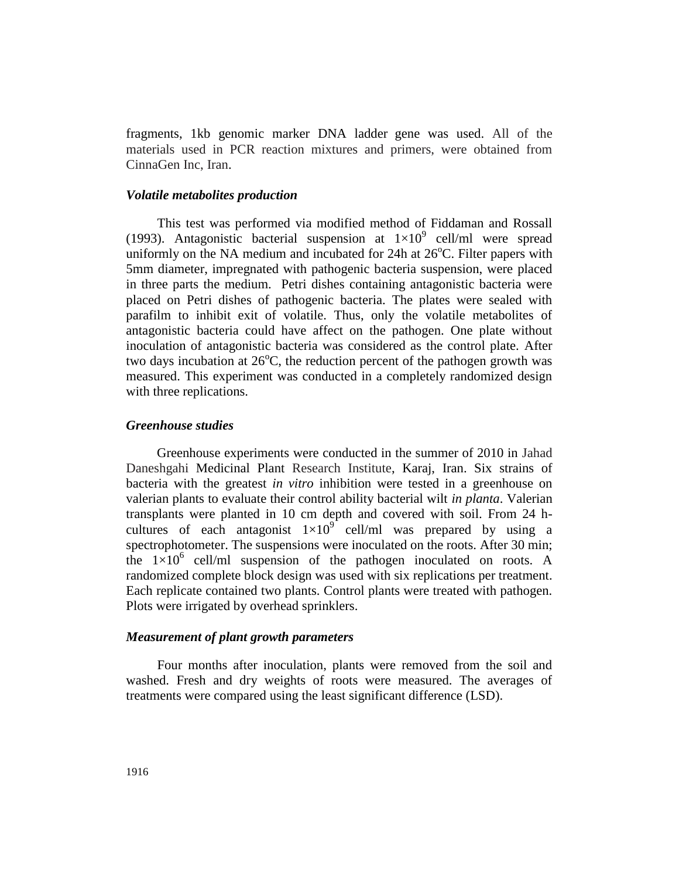fragments, 1kb genomic marker DNA ladder gene was used. All of the materials used in PCR reaction mixtures and primers, were obtained from CinnaGen Inc, Iran.

#### *Volatile metabolites production*

This test was performed via modified method of Fiddaman and Rossall (1993). Antagonistic bacterial suspension at  $1\times10^{9}$  cell/ml were spread uniformly on the NA medium and incubated for 24h at  $26^{\circ}$ C. Filter papers with 5mm diameter, impregnated with pathogenic bacteria suspension, were placed in three parts the medium. Petri dishes containing antagonistic bacteria were placed on Petri dishes of pathogenic bacteria. The plates were sealed with parafilm to inhibit exit of volatile. Thus, only the volatile metabolites of antagonistic bacteria could have affect on the pathogen. One plate without inoculation of antagonistic bacteria was considered as the control plate. After two days incubation at  $26^{\circ}$ C, the reduction percent of the pathogen growth was measured. This experiment was conducted in a completely randomized design with three replications.

### *Greenhouse studies*

Greenhouse experiments were conducted in the summer of 2010 in Jahad Daneshgahi Medicinal Plant Research Institute, Karaj, Iran. Six strains of bacteria with the greatest *in vitro* inhibition were tested in a greenhouse on valerian plants to evaluate their control ability bacterial wilt *in planta*. Valerian transplants were planted in 10 cm depth and covered with soil. From 24 hcultures of each antagonist  $1 \times 10^{9}$  cell/ml was prepared by using a spectrophotometer. The suspensions were inoculated on the roots. After 30 min; the  $1\times10^6$  cell/ml suspension of the pathogen inoculated on roots. A randomized complete block design was used with six replications per treatment. Each replicate contained two plants. Control plants were treated with pathogen. Plots were irrigated by overhead sprinklers.

#### *Measurement of plant growth parameters*

Four months after inoculation, plants were removed from the soil and washed. Fresh and dry weights of roots were measured. The averages of treatments were compared using the least significant difference (LSD).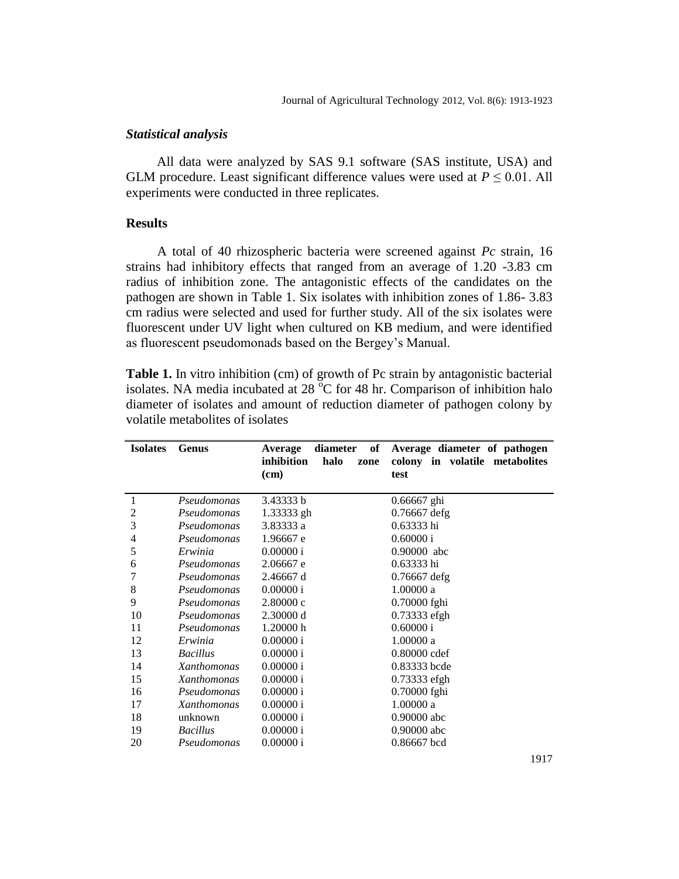### *Statistical analysis*

All data were analyzed by SAS 9.1 software (SAS institute, USA) and GLM procedure. Least significant difference values were used at  $P \leq 0.01$ . All experiments were conducted in three replicates.

### **Results**

A total of 40 rhizospheric bacteria were screened against *Pc* strain, 16 strains had inhibitory effects that ranged from an average of 1.20 -3.83 cm radius of inhibition zone. The antagonistic effects of the candidates on the pathogen are shown in Table 1. Six isolates with inhibition zones of 1.86- 3.83 cm radius were selected and used for further study. All of the six isolates were fluorescent under UV light when cultured on KB medium, and were identified as fluorescent pseudomonads based on the Bergey's Manual.

**Table 1.** In vitro inhibition (cm) of growth of Pc strain by antagonistic bacterial isolates. NA media incubated at  $28\text{ °C}$  for 48 hr. Comparison of inhibition halo diameter of isolates and amount of reduction diameter of pathogen colony by volatile metabolites of isolates

| <b>Isolates</b> | Genus              | of<br>diameter<br>Average  | Average diameter of pathogen   |
|-----------------|--------------------|----------------------------|--------------------------------|
|                 |                    | inhibition<br>halo<br>zone | colony in volatile metabolites |
|                 |                    | (cm)                       | test                           |
|                 |                    |                            |                                |
| 1               | Pseudomonas        | 3.43333 b                  | 0.66667 ghi                    |
| 2               | Pseudomonas        | 1.33333 gh                 | 0.76667 defg                   |
| 3               | Pseudomonas        | 3.83333 a                  | 0.63333 hi                     |
| 4               | Pseudomonas        | 1.96667 e                  | 0.60000 i                      |
| 5               | Erwinia            | 0.00000 i                  | 0.90000 abc                    |
| 6               | Pseudomonas        | 2.06667 e                  | 0.63333 hi                     |
| 7               | Pseudomonas        | 2.46667 d                  | $0.76667$ defg                 |
| 8               | Pseudomonas        | 0.00000 i                  | 1.00000a                       |
| 9               | Pseudomonas        | 2.80000c                   | 0.70000 fghi                   |
| 10              | Pseudomonas        | 2.30000 d                  | 0.73333 efgh                   |
| 11              | Pseudomonas        | 1.20000 h                  | 0.60000 i                      |
| 12              | Erwinia            | 0.00000 i                  | 1.00000a                       |
| 13              | <b>Bacillus</b>    | 0.00000 i                  | 0.80000 cdef                   |
| 14              | Xanthomonas        | 0.00000 i                  | 0.83333 bcde                   |
| 15              | <i>Xanthomonas</i> | 0.00000 i                  | 0.73333 efgh                   |
| 16              | Pseudomonas        | 0.00000 i                  | 0.70000 fghi                   |
| 17              | Xanthomonas        | 0.00000 i                  | 1.00000a                       |
| 18              | unknown            | 0.00000 i                  | 0.90000 abc                    |
| 19              | <b>Bacillus</b>    | 0.00000 i                  | 0.90000 abc                    |
| 20              | Pseudomonas        | 0.00000 i                  | 0.86667 bcd                    |

1917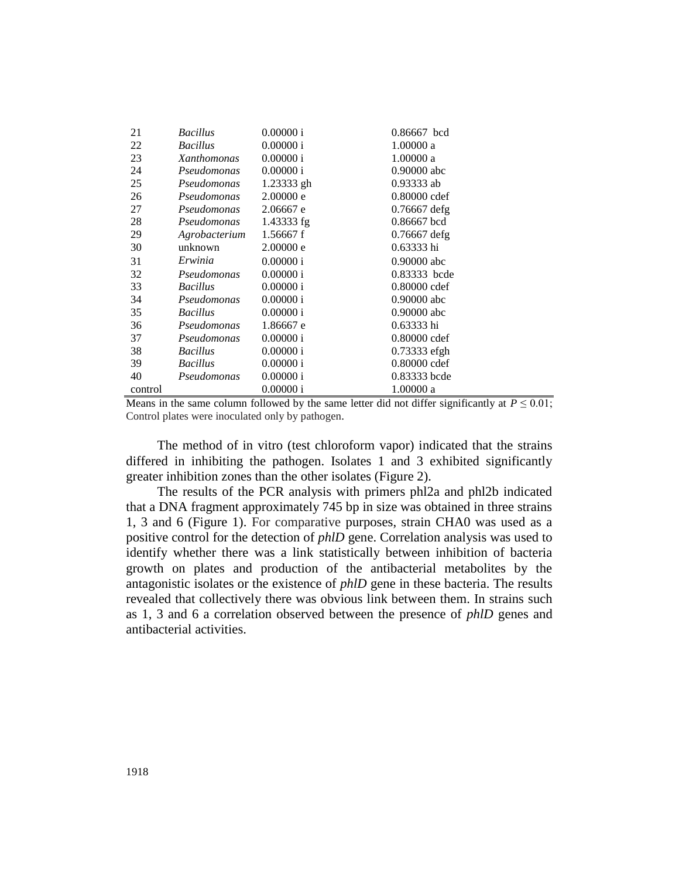| 21      | <b>Bacillus</b> | 0.00000 i  | 0.86667 bcd    |
|---------|-----------------|------------|----------------|
| 22      | <b>Bacillus</b> | 0.00000 i  | 1.00000 a      |
| 23      | Xanthomonas     | 0.00000 i  | 1.00000 a      |
| 24      | Pseudomonas     | 0.00000 i  | $0.90000$ abc  |
| 25      | Pseudomonas     | 1.23333 gh | $0.93333$ ab   |
| 26      | Pseudomonas     | 2.00000 e  | 0.80000 cdef   |
| 27      | Pseudomonas     | 2.06667 e  | $0.76667$ defg |
| 28      | Pseudomonas     | 1.43333 fg | 0.86667 bcd    |
| 29      | Agrobacterium   | 1.56667f   | $0.76667$ defg |
| 30      | unknown         | 2.00000 e  | 0.63333 hi     |
| 31      | Erwinia         | 0.00000 i  | $0.90000$ abc  |
| 32      | Pseudomonas     | 0.00000 i  | 0.83333 bcde   |
| 33      | <b>Bacillus</b> | 0.00000 i  | 0.80000 cdef   |
| 34      | Pseudomonas     | 0.00000 i  | $0.90000$ abc  |
| 35      | <b>Bacillus</b> | 0.00000 i  | $0.90000$ abc  |
| 36      | Pseudomonas     | 1.86667 e  | $0.63333$ hi   |
| 37      | Pseudomonas     | 0.00000 i  | $0.80000$ cdef |
| 38      | <b>Bacillus</b> | 0.00000 i  | 0.73333 efgh   |
| 39      | <b>Bacillus</b> | 0.00000 i  | 0.80000 cdef   |
| 40      | Pseudomonas     | 0.00000 i  | 0.83333 bcde   |
| control |                 | 0.00000 i  | 1.00000 a      |

Means in the same column followed by the same letter did not differ significantly at  $P \le 0.01$ ; Control plates were inoculated only by pathogen.

The method of in vitro (test chloroform vapor) indicated that the strains differed in inhibiting the pathogen. Isolates 1 and 3 exhibited significantly greater inhibition zones than the other isolates (Figure 2).

The results of the PCR analysis with primers phl2a and phl2b indicated that a DNA fragment approximately 745 bp in size was obtained in three strains 1, 3 and 6 (Figure 1). For comparative purposes, strain CHA0 was used as a positive control for the detection of *phlD* gene. Correlation analysis was used to identify whether there was a link statistically between inhibition of bacteria growth on plates and production of the antibacterial metabolites by the antagonistic isolates or the existence of *phlD* gene in these bacteria. The results revealed that collectively there was obvious link between them. In strains such as 1, 3 and 6 a correlation observed between the presence of *phlD* genes and antibacterial activities.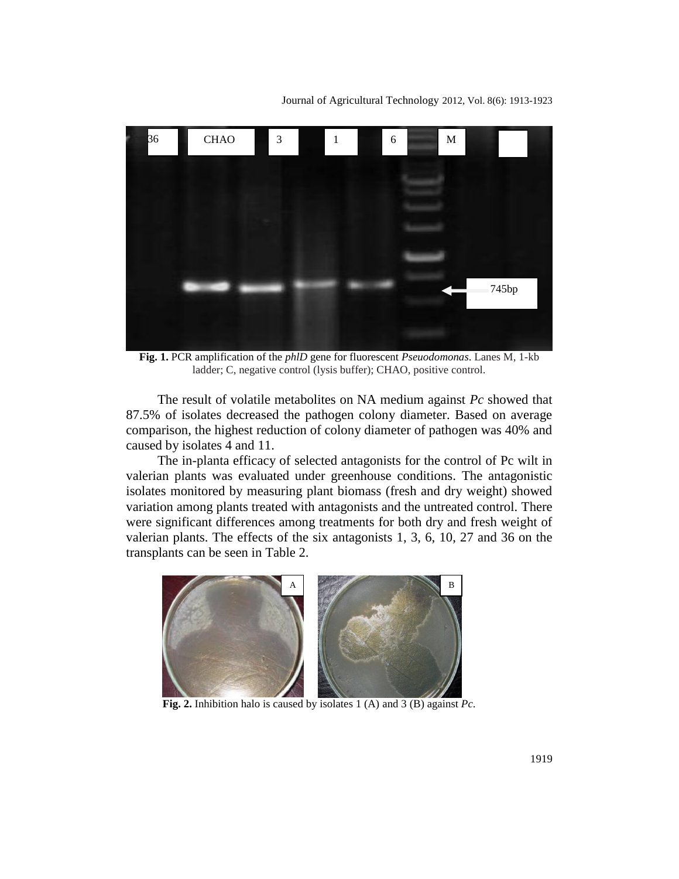Journal of Agricultural Technology 2012, Vol. 8(6): 1913-1923



**Fig. 1.** PCR amplification of the *phlD* gene for fluorescent *Pseuodomonas*. Lanes M, 1-kb ladder; C, negative control (lysis buffer); CHAO, positive control.

The result of volatile metabolites on NA medium against *Pc* showed that 87.5% of isolates decreased the pathogen colony diameter. Based on average comparison, the highest reduction of colony diameter of pathogen was 40% and caused by isolates 4 and 11.

The in-planta efficacy of selected antagonists for the control of Pc wilt in valerian plants was evaluated under greenhouse conditions. The antagonistic isolates monitored by measuring plant biomass (fresh and dry weight) showed variation among plants treated with antagonists and the untreated control. There were significant differences among treatments for both dry and fresh weight of valerian plants. The effects of the six antagonists 1, 3, 6, 10, 27 and 36 on the transplants can be seen in Table 2.



**Fig. 2.** Inhibition halo is caused by isolates 1 (A) and 3 (B) against *Pc*.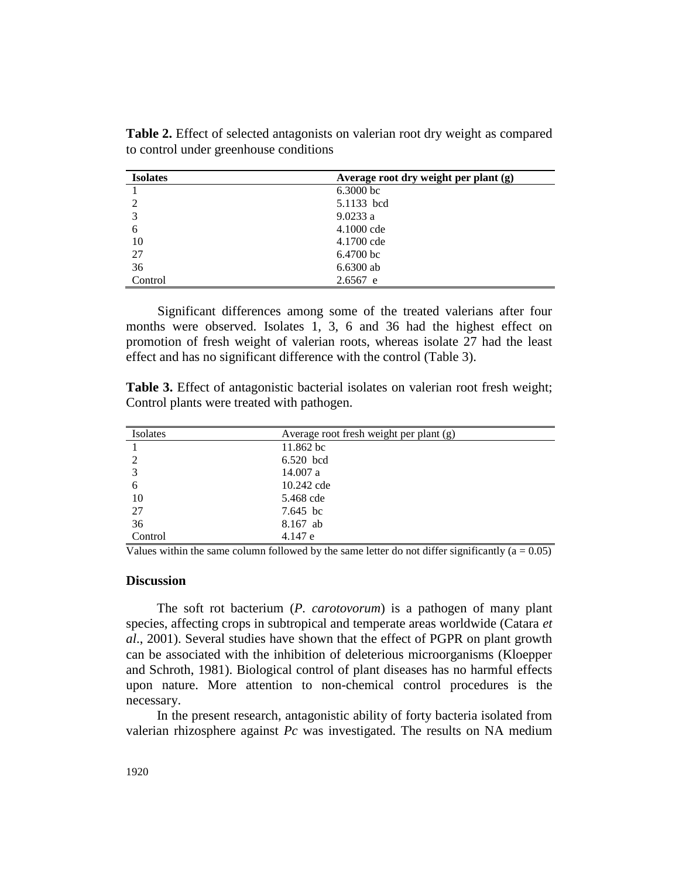| <b>Isolates</b> | Average root dry weight per plant (g) |
|-----------------|---------------------------------------|
|                 | 6.3000 bc                             |
| 2               | 5.1133 bcd                            |
| 3               | 9.0233a                               |
| 6               | 4.1000 cde                            |
| 10              | 4.1700 cde                            |
| 27              | $6.4700$ bc                           |
| 36              | $6.6300$ ab                           |
| Control         | $2.6567$ e                            |

**Table 2.** Effect of selected antagonists on valerian root dry weight as compared to control under greenhouse conditions

Significant differences among some of the treated valerians after four months were observed. Isolates 1, 3, 6 and 36 had the highest effect on promotion of fresh weight of valerian roots, whereas isolate 27 had the least effect and has no significant difference with the control (Table 3).

**Table 3.** Effect of antagonistic bacterial isolates on valerian root fresh weight; Control plants were treated with pathogen.

| Isolates | Average root fresh weight per plant (g) |
|----------|-----------------------------------------|
|          | 11.862 bc                               |
| 2        | 6.520 bcd                               |
| 3        | 14.007 a                                |
| 6        | 10.242 cde                              |
| 10       | 5.468 cde                               |
| 27       | 7.645 bc                                |
| 36       | 8.167 ab                                |
| Control  | 4.147 e                                 |

Values within the same column followed by the same letter do not differ significantly  $(a = 0.05)$ 

#### **Discussion**

The soft rot bacterium (*P. carotovorum*) is a pathogen of many plant species, affecting crops in subtropical and temperate areas worldwide (Catara *et al*., 2001). Several studies have shown that the effect of PGPR on plant growth can be associated with the inhibition of deleterious microorganisms (Kloepper and Schroth, 1981). Biological control of plant diseases has no harmful effects upon nature. More attention to non-chemical control procedures is the necessary.

In the present research, antagonistic ability of forty bacteria isolated from valerian rhizosphere against *Pc* was investigated. The results on NA medium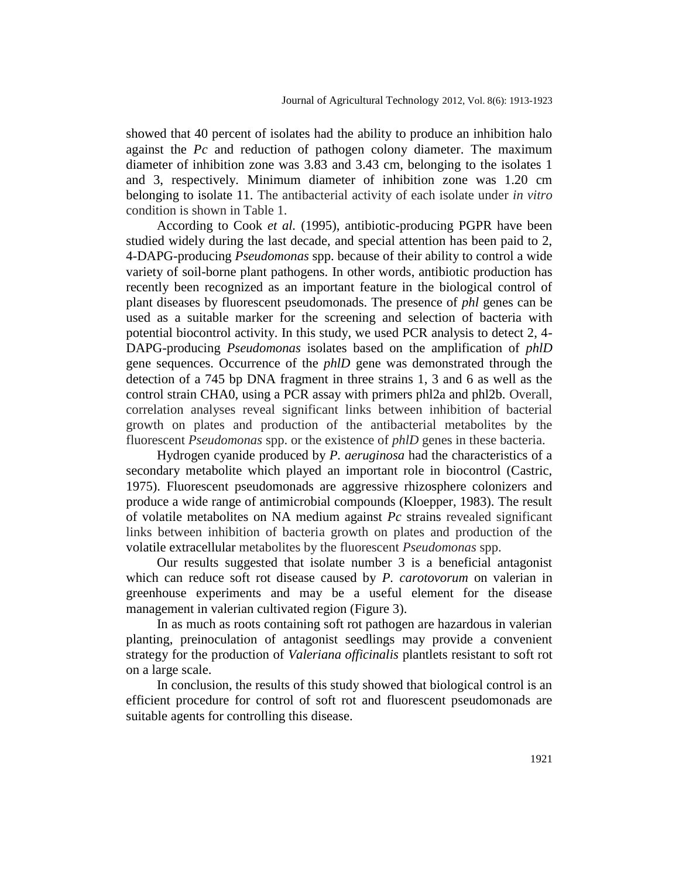showed that 40 percent of isolates had the ability to produce an inhibition halo against the *Pc* and reduction of pathogen colony diameter. The maximum diameter of inhibition zone was 3.83 and 3.43 cm, belonging to the isolates 1 and 3, respectively*.* Minimum diameter of inhibition zone was 1.20 cm belonging to isolate 11. The antibacterial activity of each isolate under *in vitro*  condition is shown in Table 1.

According to Cook *et al.* (1995), antibiotic-producing PGPR have been studied widely during the last decade, and special attention has been paid to 2, 4-DAPG-producing *Pseudomonas* spp. because of their ability to control a wide variety of soil-borne plant pathogens. In other words, antibiotic production has recently been recognized as an important feature in the biological control of plant diseases by fluorescent pseudomonads. The presence of *phl* genes can be used as a suitable marker for the screening and selection of bacteria with potential biocontrol activity. In this study, we used PCR analysis to detect 2, 4- DAPG-producing *Pseudomonas* isolates based on the amplification of *phlD* gene sequences. Occurrence of the *phlD* gene was demonstrated through the detection of a 745 bp DNA fragment in three strains 1, 3 and 6 as well as the control strain CHA0, using a PCR assay with primers phl2a and phl2b. Overall, correlation analyses reveal significant links between inhibition of bacterial growth on plates and production of the antibacterial metabolites by the fluorescent *Pseudomonas* spp. or the existence of *phlD* genes in these bacteria.

Hydrogen cyanide produced by *P. aeruginosa* had the characteristics of a secondary metabolite which played an important role in biocontrol (Castric, 1975). Fluorescent pseudomonads are aggressive rhizosphere colonizers and produce a wide range of antimicrobial compounds (Kloepper, 1983). The result of volatile metabolites on NA medium against *Pc* strains revealed significant links between inhibition of bacteria growth on plates and production of the volatile extracellular metabolites by the fluorescent *Pseudomonas* spp.

Our results suggested that isolate number 3 is a beneficial antagonist which can reduce soft rot disease caused by *P. carotovorum* on valerian in greenhouse experiments and may be a useful element for the disease management in valerian cultivated region (Figure 3).

In as much as roots containing soft rot pathogen are hazardous in valerian planting, preinoculation of antagonist seedlings may provide a convenient strategy for the production of *Valeriana officinalis* plantlets resistant to soft rot on a large scale.

In conclusion, the results of this study showed that biological control is an efficient procedure for control of soft rot and fluorescent pseudomonads are suitable agents for controlling this disease.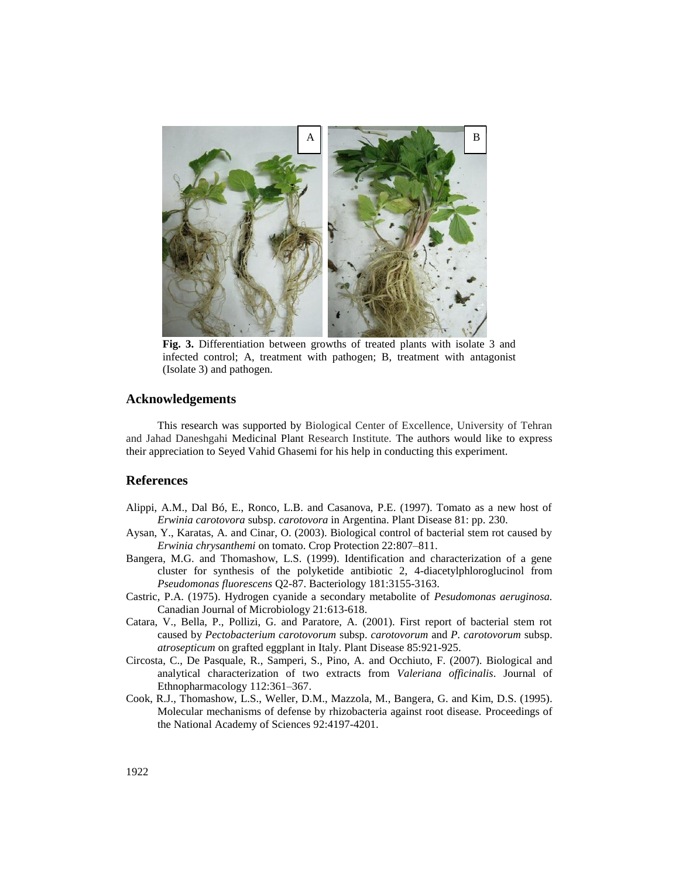

**Fig. 3.** Differentiation between growths of treated plants with isolate 3 and infected control; A, treatment with pathogen; B, treatment with antagonist (Isolate 3) and pathogen.

#### **Acknowledgements**

This research was supported by Biological Center of Excellence, University of Tehran and Jahad Daneshgahi Medicinal Plant Research Institute. The authors would like to express their appreciation to Seyed Vahid Ghasemi for his help in conducting this experiment.

#### **References**

- Alippi, A.M., Dal Bó, E., Ronco, L.B. and Casanova, P.E. (1997). Tomato as a new host of *Erwinia carotovora* subsp. *carotovora* in Argentina. Plant Disease 81: pp. 230.
- Aysan, Y., Karatas, A. and Cinar, O. (2003). Biological control of bacterial stem rot caused by *Erwinia chrysanthemi* on tomato. Crop Protection 22:807–811.
- Bangera, M.G. and Thomashow, L.S. (1999). Identification and characterization of a gene cluster for synthesis of the polyketide antibiotic 2, 4-diacetylphloroglucinol from *Pseudomonas fluorescens* Q2-87. Bacteriology 181:3155-3163.
- Castric, P.A. (1975). Hydrogen cyanide a secondary metabolite of *Pesudomonas aeruginosa.*  Canadian Journal of Microbiology 21:613-618.
- Catara, V., Bella, P., Pollizi, G. and Paratore, A. (2001). First report of bacterial stem rot caused by *Pectobacterium carotovorum* subsp. *carotovorum* and *P. carotovorum* subsp. *atrosepticum* on grafted eggplant in Italy. Plant Disease 85:921-925.
- Circosta, C., De Pasquale, R., Samperi, S., Pino, A. and Occhiuto, F. (2007). Biological and analytical characterization of two extracts from *Valeriana officinalis*. Journal of Ethnopharmacology 112:361–367.
- Cook, R.J., Thomashow, L.S., Weller, D.M., Mazzola, M., Bangera, G. and Kim, D.S. (1995). Molecular mechanisms of defense by rhizobacteria against root disease. [Proceedings of](http://www.google.com/url?sa=t&source=web&cd=1&ved=0CBMQFjAA&url=http%3A%2F%2Fwww.pnas.org%2F&rct=j&q=Proc%20Natl%20Sci.&ei=ilkpTYvkHYuo8QPPwJGLAw&usg=AFQjCNF8L8b8kaHKmCj0CPzwGkSLYL9tsA&sig2=ae7PrW3rb2_BrHvolkCPig&cad=rja)  [the National Academy of Sciences](http://www.google.com/url?sa=t&source=web&cd=1&ved=0CBMQFjAA&url=http%3A%2F%2Fwww.pnas.org%2F&rct=j&q=Proc%20Natl%20Sci.&ei=ilkpTYvkHYuo8QPPwJGLAw&usg=AFQjCNF8L8b8kaHKmCj0CPzwGkSLYL9tsA&sig2=ae7PrW3rb2_BrHvolkCPig&cad=rja) 92:4197-4201.